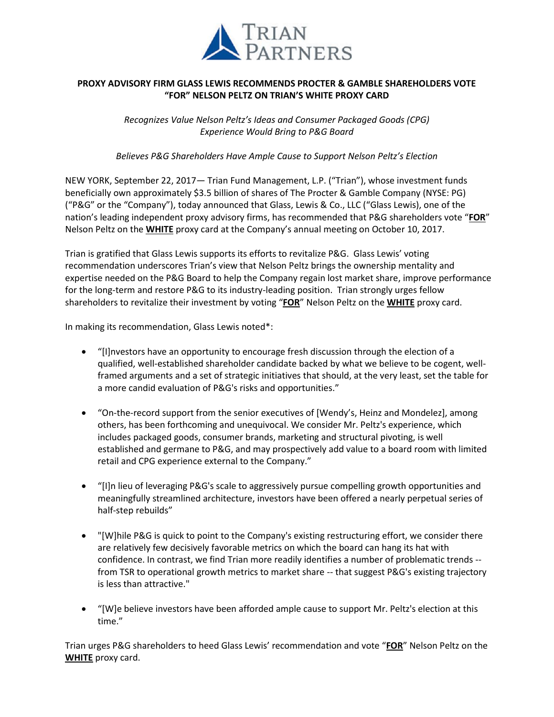

## **PROXY ADVISORY FIRM GLASS LEWIS RECOMMENDS PROCTER & GAMBLE SHAREHOLDERS VOTE "FOR" NELSON PELTZ ON TRIAN'S WHITE PROXY CARD**

*Recognizes Value Nelson Peltz's Ideas and Consumer Packaged Goods (CPG) Experience Would Bring to P&G Board*

*Believes P&G Shareholders Have Ample Cause to Support Nelson Peltz's Election*

NEW YORK, September 22, 2017— Trian Fund Management, L.P. ("Trian"), whose investment funds beneficially own approximately \$3.5 billion of shares of The Procter & Gamble Company (NYSE: PG) ("P&G" or the "Company"), today announced that Glass, Lewis & Co., LLC ("Glass Lewis), one of the nation's leading independent proxy advisory firms, has recommended that P&G shareholders vote "**FOR**" Nelson Peltz on the **WHITE** proxy card at the Company's annual meeting on October 10, 2017.

Trian is gratified that Glass Lewis supports its efforts to revitalize P&G. Glass Lewis' voting recommendation underscores Trian's view that Nelson Peltz brings the ownership mentality and expertise needed on the P&G Board to help the Company regain lost market share, improve performance for the long-term and restore P&G to its industry-leading position. Trian strongly urges fellow shareholders to revitalize their investment by voting "**FOR**" Nelson Peltz on the **WHITE** proxy card.

In making its recommendation, Glass Lewis noted\*:

- "[I]nvestors have an opportunity to encourage fresh discussion through the election of a qualified, well-established shareholder candidate backed by what we believe to be cogent, wellframed arguments and a set of strategic initiatives that should, at the very least, set the table for a more candid evaluation of P&G's risks and opportunities."
- "On-the-record support from the senior executives of [Wendy's, Heinz and Mondelez], among others, has been forthcoming and unequivocal. We consider Mr. Peltz's experience, which includes packaged goods, consumer brands, marketing and structural pivoting, is well established and germane to P&G, and may prospectively add value to a board room with limited retail and CPG experience external to the Company."
- "[I]n lieu of leveraging P&G's scale to aggressively pursue compelling growth opportunities and meaningfully streamlined architecture, investors have been offered a nearly perpetual series of half-step rebuilds"
- "[W]hile P&G is quick to point to the Company's existing restructuring effort, we consider there are relatively few decisively favorable metrics on which the board can hang its hat with confidence. In contrast, we find Trian more readily identifies a number of problematic trends - from TSR to operational growth metrics to market share -- that suggest P&G's existing trajectory is less than attractive."
- "[W]e believe investors have been afforded ample cause to support Mr. Peltz's election at this time."

Trian urges P&G shareholders to heed Glass Lewis' recommendation and vote "**FOR**" Nelson Peltz on the **WHITE** proxy card.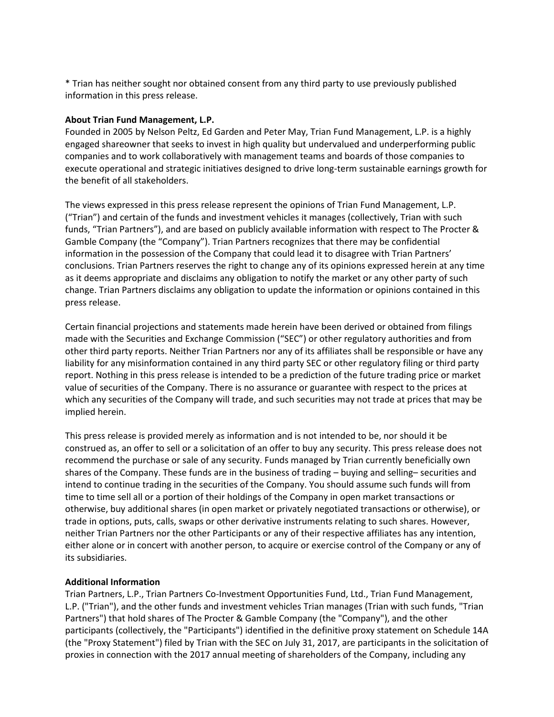\* Trian has neither sought nor obtained consent from any third party to use previously published information in this press release.

## **About Trian Fund Management, L.P.**

Founded in 2005 by Nelson Peltz, Ed Garden and Peter May, Trian Fund Management, L.P. is a highly engaged shareowner that seeks to invest in high quality but undervalued and underperforming public companies and to work collaboratively with management teams and boards of those companies to execute operational and strategic initiatives designed to drive long-term sustainable earnings growth for the benefit of all stakeholders.

The views expressed in this press release represent the opinions of Trian Fund Management, L.P. ("Trian") and certain of the funds and investment vehicles it manages (collectively, Trian with such funds, "Trian Partners"), and are based on publicly available information with respect to The Procter & Gamble Company (the "Company"). Trian Partners recognizes that there may be confidential information in the possession of the Company that could lead it to disagree with Trian Partners' conclusions. Trian Partners reserves the right to change any of its opinions expressed herein at any time as it deems appropriate and disclaims any obligation to notify the market or any other party of such change. Trian Partners disclaims any obligation to update the information or opinions contained in this press release.

Certain financial projections and statements made herein have been derived or obtained from filings made with the Securities and Exchange Commission ("SEC") or other regulatory authorities and from other third party reports. Neither Trian Partners nor any of its affiliates shall be responsible or have any liability for any misinformation contained in any third party SEC or other regulatory filing or third party report. Nothing in this press release is intended to be a prediction of the future trading price or market value of securities of the Company. There is no assurance or guarantee with respect to the prices at which any securities of the Company will trade, and such securities may not trade at prices that may be implied herein.

This press release is provided merely as information and is not intended to be, nor should it be construed as, an offer to sell or a solicitation of an offer to buy any security. This press release does not recommend the purchase or sale of any security. Funds managed by Trian currently beneficially own shares of the Company. These funds are in the business of trading – buying and selling– securities and intend to continue trading in the securities of the Company. You should assume such funds will from time to time sell all or a portion of their holdings of the Company in open market transactions or otherwise, buy additional shares (in open market or privately negotiated transactions or otherwise), or trade in options, puts, calls, swaps or other derivative instruments relating to such shares. However, neither Trian Partners nor the other Participants or any of their respective affiliates has any intention, either alone or in concert with another person, to acquire or exercise control of the Company or any of its subsidiaries.

## **Additional Information**

Trian Partners, L.P., Trian Partners Co-Investment Opportunities Fund, Ltd., Trian Fund Management, L.P. ("Trian"), and the other funds and investment vehicles Trian manages (Trian with such funds, "Trian Partners") that hold shares of The Procter & Gamble Company (the "Company"), and the other participants (collectively, the "Participants") identified in the definitive proxy statement on Schedule 14A (the "Proxy Statement") filed by Trian with the SEC on July 31, 2017, are participants in the solicitation of proxies in connection with the 2017 annual meeting of shareholders of the Company, including any